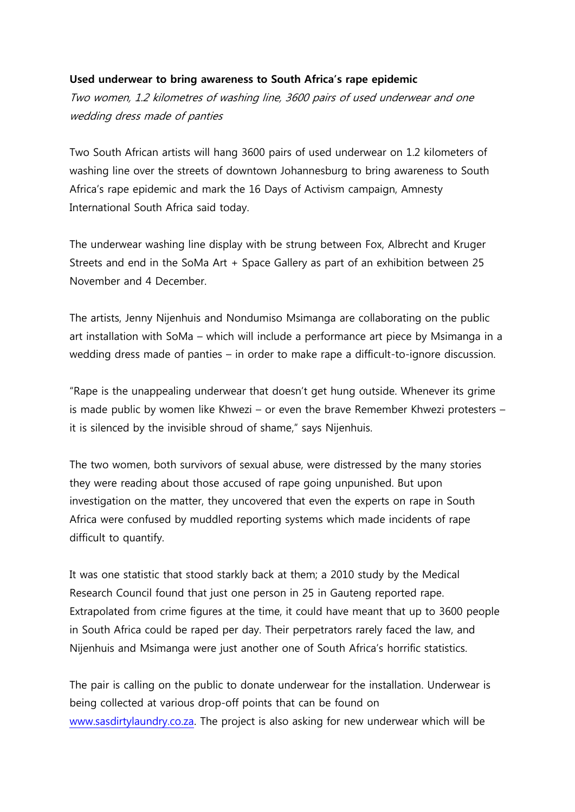## **Used underwear to bring awareness to South Africa's rape epidemic**

Two women, 1.2 kilometres of washing line, 3600 pairs of used underwear and one wedding dress made of panties

Two South African artists will hang 3600 pairs of used underwear on 1.2 kilometers of washing line over the streets of downtown Johannesburg to bring awareness to South Africa's rape epidemic and mark the 16 Days of Activism campaign, Amnesty International South Africa said today.

The underwear washing line display with be strung between Fox, Albrecht and Kruger Streets and end in the SoMa Art + Space Gallery as part of an exhibition between 25 November and 4 December.

The artists, Jenny Nijenhuis and Nondumiso Msimanga are collaborating on the public art installation with SoMa – which will include a performance art piece by Msimanga in a wedding dress made of panties – in order to make rape a difficult-to-ignore discussion.

"Rape is the unappealing underwear that doesn't get hung outside. Whenever its grime is made public by women like Khwezi – or even the brave Remember Khwezi protesters – it is silenced by the invisible shroud of shame," says Nijenhuis.

The two women, both survivors of sexual abuse, were distressed by the many stories they were reading about those accused of rape going unpunished. But upon investigation on the matter, they uncovered that even the experts on rape in South Africa were confused by muddled reporting systems which made incidents of rape difficult to quantify.

It was one statistic that stood starkly back at them; a 2010 study by the Medical Research Council found that just one person in 25 in Gauteng reported rape. Extrapolated from crime figures at the time, it could have meant that up to 3600 people in South Africa could be raped per day. Their perpetrators rarely faced the law, and Nijenhuis and Msimanga were just another one of South Africa's horrific statistics.

The pair is calling on the public to donate underwear for the installation. Underwear is being collected at various drop-off points that can be found on [www.sasdirtylaundry.co.za.](http://www.sasdirtylaundry.co.za/) The project is also asking for new underwear which will be